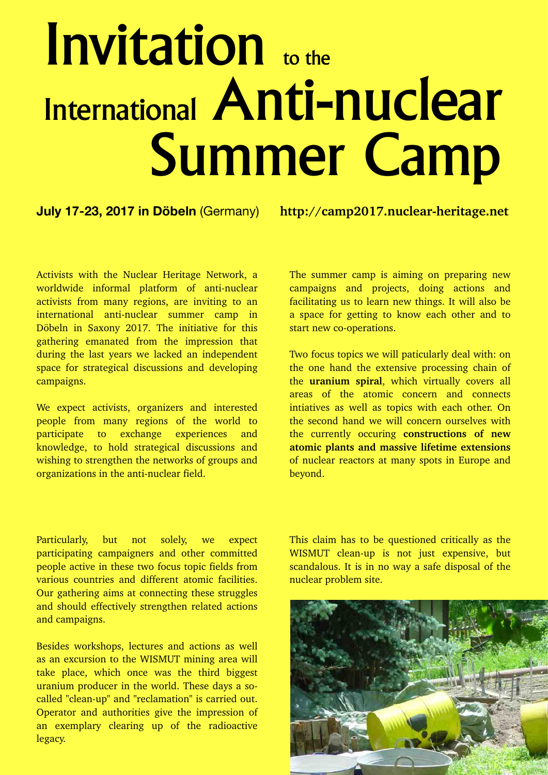## Invitation to the International Anti-nuclear Summer Camp

## **July 17-23, 2017 in Döbeln** (Germany) http://camp2017.nuclear-heritage.net

Activists with the Nuclear Heritage Network, a worldwide informal platform of anti-nuclear activists from many regions, are inviting to an international anti-nuclear summer camp in Döbeln in Saxony 2017. The initiative for this gathering emanated from the impression that during the last years we lacked an independent space for strategical discussions and developing campaigns.

We expect activists, organizers and interested people from many regions of the world to participate to exchange experiences and knowledge, to hold strategical discussions and wishing to strengthen the networks of groups and organizations in the anti-nuclear field.

The summer camp is aiming on preparing new campaigns and projects, doing actions and facilitating us to learn new things. It will also be a space for getting to know each other and to start new co-operations.

Two focus topics we will paticularly deal with: on the one hand the extensive processing chain of the **uranium spiral**, which virtually covers all areas of the atomic concern and connects intiatives as well as topics with each other. On the second hand we will concern ourselves with the currently occuring **constructions of new atomic plants and massive lifetime extensions** of nuclear reactors at many spots in Europe and beyond.

Particularly, but not solely, we expect participating campaigners and other committed people active in these two focus topic fields from various countries and different atomic facilities. Our gathering aims at connecting these struggles and should effectively strengthen related actions and campaigns.

Besides workshops, lectures and actions as well as an excursion to the WISMUT mining area will take place, which once was the third biggest uranium producer in the world. These days a socalled "clean-up" and "reclamation" is carried out. Operator and authorities give the impression of an exemplary clearing up of the radioactive legacy.

This claim has to be questioned critically as the WISMUT clean-up is not just expensive, but scandalous. It is in no way a safe disposal of the nuclear problem site.